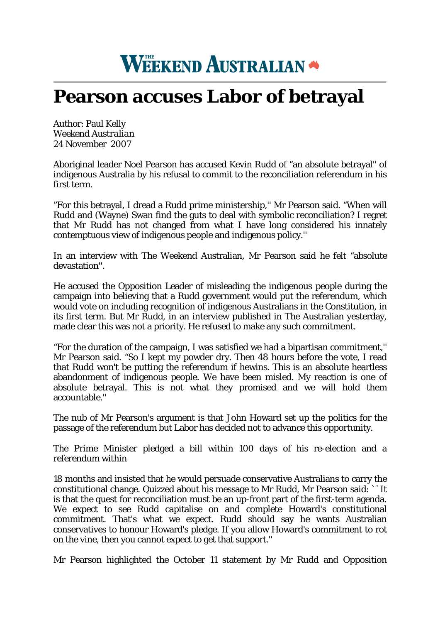## **WEEKEND AUSTRALIAN**

## **Pearson accuses Labor of betrayal**

Author: Paul Kelly *Weekend Australian* 24 November 2007

Aboriginal leader Noel Pearson has accused Kevin Rudd of "an absolute betrayal'' of indigenous Australia by his refusal to commit to the reconciliation referendum in his first term.

"For this betrayal, I dread a Rudd prime ministership,'' Mr Pearson said. "When will Rudd and (Wayne) Swan find the guts to deal with symbolic reconciliation? I regret that Mr Rudd has not changed from what I have long considered his innately contemptuous view of indigenous people and indigenous policy.''

In an interview with The Weekend Australian, Mr Pearson said he felt "absolute devastation''.

He accused the Opposition Leader of misleading the indigenous people during the campaign into believing that a Rudd government would put the referendum, which would vote on including recognition of indigenous Australians in the Constitution, in its first term. But Mr Rudd, in an interview published in The Australian yesterday, made clear this was not a priority. He refused to make any such commitment.

"For the duration of the campaign, I was satisfied we had a bipartisan commitment,'' Mr Pearson said. "So I kept my powder dry. Then 48 hours before the vote, I read that Rudd won't be putting the referendum if hewins. This is an absolute heartless abandonment of indigenous people. We have been misled. My reaction is one of absolute betrayal. This is not what they promised and we will hold them accountable.''

The nub of Mr Pearson's argument is that John Howard set up the politics for the passage of the referendum but Labor has decided not to advance this opportunity.

The Prime Minister pledged a bill within 100 days of his re-election and a referendum within

18 months and insisted that he would persuade conservative Australians to carry the constitutional change. Quizzed about his message to Mr Rudd, Mr Pearson said: ``It is that the quest for reconciliation must be an up-front part of the first-term agenda. We expect to see Rudd capitalise on and complete Howard's constitutional commitment. That's what we expect. Rudd should say he wants Australian conservatives to honour Howard's pledge. If you allow Howard's commitment to rot on the vine, then you cannot expect to get that support.''

Mr Pearson highlighted the October 11 statement by Mr Rudd and Opposition